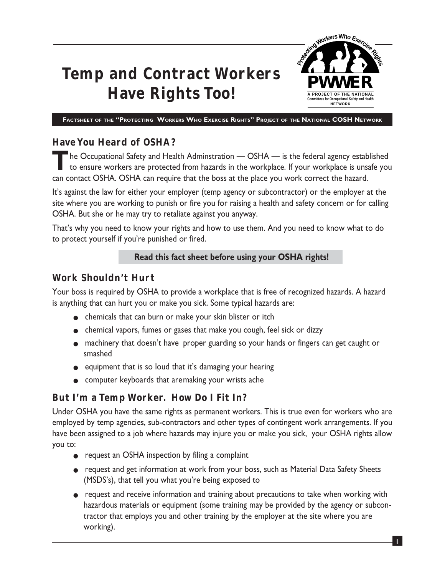# **Temp and Contract Workers Have Rights Too!**



**FACTSHEET OF THE "PROTECTING WORKERS WHO EXERCISE RIGHTS" PROJECT OF THE NATIONAL COSH NETWORK**

#### **Have You Heard of OSHA?**

**T**he Occupational Safety and Health Adminstration — OSHA — is the federal agency established to ensure workers are protected from hazards in the workplace. If your workplace is unsafe you can contact OSHA. OSHA can require that the boss at the place you work correct the hazard.

It's against the law for either your employer (temp agency or subcontractor) or the employer at the site where you are working to punish or fire you for raising a health and safety concern or for calling OSHA. But she or he may try to retaliate against you anyway.

That's why you need to know your rights and how to use them. And you need to know what to do to protect yourself if you're punished or fired.

#### **Read this fact sheet before using your OSHA rights!**

#### **Work Shouldn't Hurt**

Your boss is required by OSHA to provide a workplace that is free of recognized hazards. A hazard is anything that can hurt you or make you sick. Some typical hazards are:

- chemicals that can burn or make your skin blister or itch
- chemical vapors, fumes or gases that make you cough, feel sick or dizzy
- machinery that doesn't have proper guarding so your hands or fingers can get caught or smashed
- equipment that is so loud that it's damaging your hearing
- computer keyboards that aremaking your wrists ache

## **But I'm a Temp Worker. How Do I Fit In?**

Under OSHA you have the same rights as permanent workers. This is true even for workers who are employed by temp agencies, sub-contractors and other types of contingent work arrangements. If you have been assigned to a job where hazards may injure you or make you sick, your OSHA rights allow you to:

- request an OSHA inspection by filing a complaint
- request and get information at work from your boss, such as Material Data Safety Sheets (MSDS's), that tell you what you're being exposed to
- request and receive information and training about precautions to take when working with hazardous materials or equipment (some training may be provided by the agency or subcontractor that employs you and other training by the employer at the site where you are working).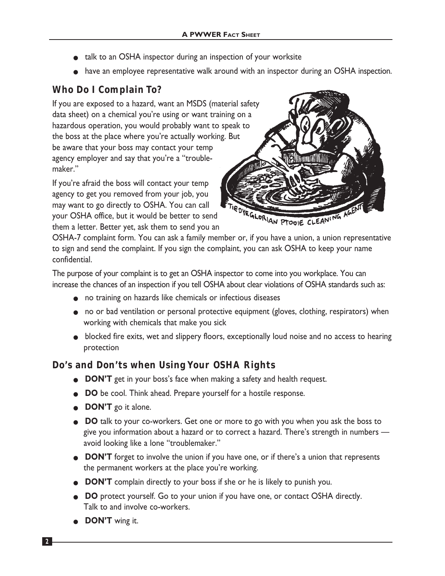- talk to an OSHA inspector during an inspection of your worksite
- have an employee representative walk around with an inspector during an OSHA inspection.

## **Who Do I Complain To?**

If you are exposed to a hazard, want an MSDS (material safety data sheet) on a chemical you're using or want training on a hazardous operation, you would probably want to speak to the boss at the place where you're actually working. But be aware that your boss may contact your temp agency employer and say that you're a "troublemaker."

If you're afraid the boss will contact your temp agency to get you removed from your job, you may want to go directly to OSHA. You can call your OSHA office, but it would be better to send them a letter. Better yet, ask them to send you an



OSHA-7 complaint form. You can ask a family member or, if you have a union, a union representative to sign and send the complaint. If you sign the complaint, you can ask OSHA to keep your name confidential.

The purpose of your complaint is to get an OSHA inspector to come into you workplace. You can increase the chances of an inspection if you tell OSHA about clear violations of OSHA standards such as:

- no training on hazards like chemicals or infectious diseases
- no or bad ventilation or personal protective equipment (gloves, clothing, respirators) when working with chemicals that make you sick
- blocked fire exits, wet and slippery floors, exceptionally loud noise and no access to hearing protection

## **Do's and Don'ts when Using Your OSHA Rights**

- **DON'T** get in your boss's face when making a safety and health request.
- **DO** be cool. Think ahead. Prepare yourself for a hostile response.
- **DON'T** go it alone.
- **DO** talk to your co-workers. Get one or more to go with you when you ask the boss to give you information about a hazard or to correct a hazard. There's strength in numbers avoid looking like a lone "troublemaker."
- **DON'T** forget to involve the union if you have one, or if there's a union that represents the permanent workers at the place you're working.
- **DON'T** complain directly to your boss if she or he is likely to punish you.
- **DO** protect yourself. Go to your union if you have one, or contact OSHA directly. Talk to and involve co-workers.
- **DON'T** wing it.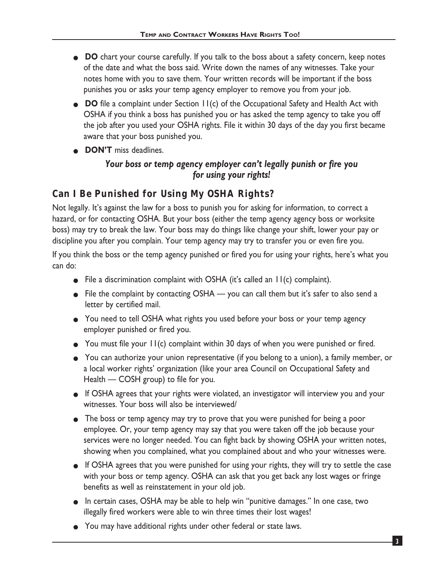- **DO** chart your course carefully. If you talk to the boss about a safety concern, keep notes of the date and what the boss said. Write down the names of any witnesses. Take your notes home with you to save them. Your written records will be important if the boss punishes you or asks your temp agency employer to remove you from your job.
- **DO** file a complaint under Section 11(c) of the Occupational Safety and Health Act with OSHA if you think a boss has punished you or has asked the temp agency to take you off the job after you used your OSHA rights. File it within 30 days of the day you first became aware that your boss punished you.
- **DON'T** miss deadlines.

### *Your boss or temp agency employer can't legally punish or fire you for using your rights!*

## **Can I Be Punished for Using My OSHA Rights?**

Not legally. It's against the law for a boss to punish you for asking for information, to correct a hazard, or for contacting OSHA. But your boss (either the temp agency agency boss or worksite boss) may try to break the law. Your boss may do things like change your shift, lower your pay or discipline you after you complain. Your temp agency may try to transfer you or even fire you.

If you think the boss or the temp agency punished or fired you for using your rights, here's what you can do:

- File a discrimination complaint with OSHA (it's called an 11(c) complaint).
- File the complaint by contacting OSHA you can call them but it's safer to also send a letter by certified mail.
- You need to tell OSHA what rights you used before your boss or your temp agency employer punished or fired you.
- You must file your 11(c) complaint within 30 days of when you were punished or fired.
- You can authorize your union representative (if you belong to a union), a family member, or a local worker rights' organization (like your area Council on Occupational Safety and Health — COSH group) to file for you.
- If OSHA agrees that your rights were violated, an investigator will interview you and your witnesses. Your boss will also be interviewed/
- The boss or temp agency may try to prove that you were punished for being a poor employee. Or, your temp agency may say that you were taken off the job because your services were no longer needed. You can fight back by showing OSHA your written notes, showing when you complained, what you complained about and who your witnesses were.
- If OSHA agrees that you were punished for using your rights, they will try to settle the case with your boss or temp agency. OSHA can ask that you get back any lost wages or fringe benefits as well as reinstatement in your old job.
- In certain cases, OSHA may be able to help win "punitive damages." In one case, two illegally fired workers were able to win three times their lost wages!
- You may have additional rights under other federal or state laws.